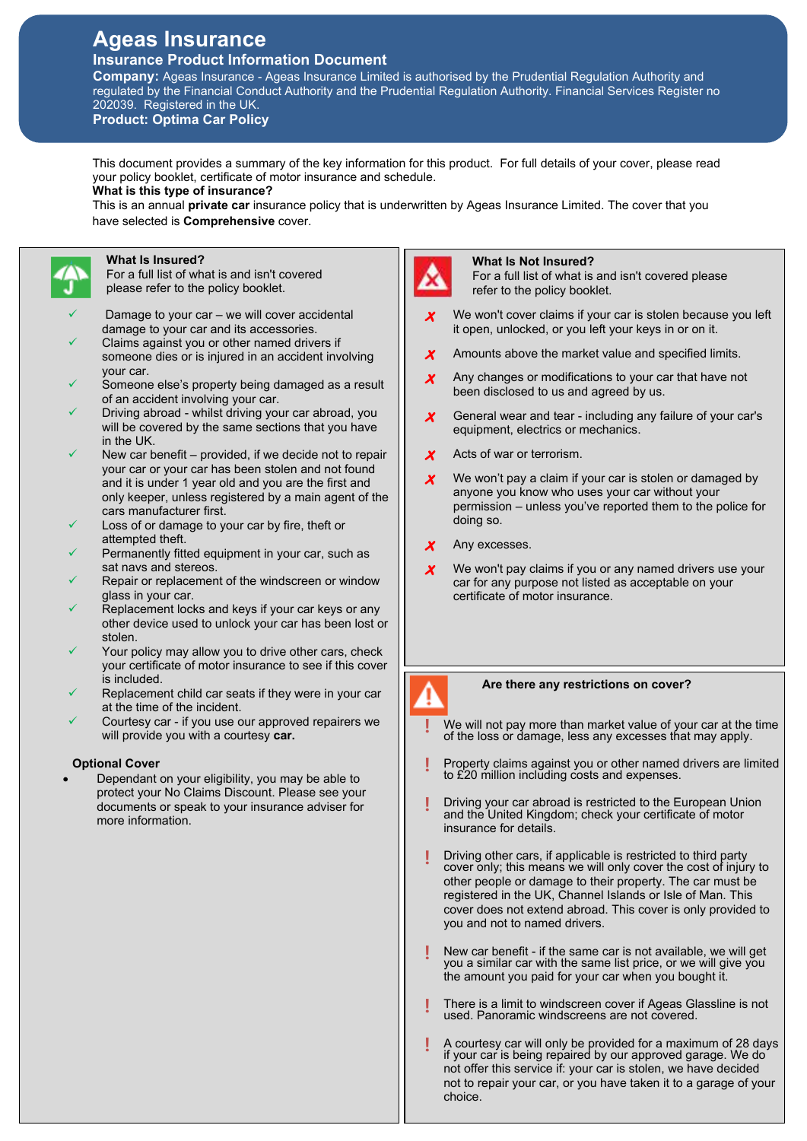# **Ageas Insurance Insurance Product Information Document**

**Company:** Ageas Insurance - Ageas Insurance Limited is authorised by the Prudential Regulation Authority and regulated by the Financial Conduct Authority and the Prudential Regulation Authority. Financial Services Register no 202039. Registered in the UK.

**Product: Optima Car Policy**

This document provides a summary of the key information for this product. For full details of your cover, please read your policy booklet, certificate of motor insurance and schedule.

**What is this type of insurance?** 

This is an annual **private car** insurance policy that is underwritten by Ageas Insurance Limited. The cover that you have selected is **Comprehensive** cover.

# **What Is Insured?**

For a full list of what is and isn't covered please refer to the policy booklet.

- Damage to your car we will cover accidental damage to your car and its accessories.
- Claims against you or other named drivers if someone dies or is injured in an accident involving your car.
- Someone else's property being damaged as a result of an accident involving your car.
- Driving abroad whilst driving your car abroad, you will be covered by the same sections that you have in the UK.
- New car benefit provided, if we decide not to repair your car or your car has been stolen and not found and it is under 1 year old and you are the first and only keeper, unless registered by a main agent of the cars manufacturer first.
- Loss of or damage to your car by fire, theft or attempted theft.
- Permanently fitted equipment in your car, such as sat navs and stereos.
- Repair or replacement of the windscreen or window glass in your car.
- Replacement locks and keys if your car keys or any other device used to unlock your car has been lost or stolen.
- Your policy may allow you to drive other cars, check your certificate of motor insurance to see if this cover is included.
- Replacement child car seats if they were in your car at the time of the incident.
- Courtesy car if you use our approved repairers we will provide you with a courtesy **car.**

# **Optional Cover**

 Dependant on your eligibility, you may be able to protect your No Claims Discount. Please see your documents or speak to your insurance adviser for more information.

# **What Is Not Insured?**

For a full list of what is and isn't covered please refer to the policy booklet.

- **×** We won't cover claims if your car is stolen because you left it open, unlocked, or you left your keys in or on it.
- $\boldsymbol{\chi}$  Amounts above the market value and specified limits.
- $\chi$  Any changes or modifications to your car that have not been disclosed to us and agreed by us.
- **×** General wear and tear including any failure of your car's equipment, electrics or mechanics.
- **×** Acts of war or terrorism.
- **X** We won't pay a claim if your car is stolen or damaged by anyone you know who uses your car without your permission – unless you've reported them to the police for doing so.
- **×** Any excesses.
- **×** We won't pay claims if you or any named drivers use your car for any purpose not listed as acceptable on your certificate of motor insurance.



# **Are there any restrictions on cover?**

- **!** We will not pay more than market value of your car at the time of the loss or damage, less any excesses that may apply.
- **!** Property claims against you or other named drivers are limited to £20 million including costs and expenses.
- **!** Driving your car abroad is restricted to the European Union and the United Kingdom; check your certificate of motor insurance for details.
- **!** Driving other cars, if applicable is restricted to third party cover only; this means we will only cover the cost of injury to other people or damage to their property. The car must be registered in the UK, Channel Islands or Isle of Man. This cover does not extend abroad. This cover is only provided to you and not to named drivers.
- **!** New car benefit if the same car is not available, we will get you a similar car with the same list price, or we will give you the amount you paid for your car when you bought it.
- **!** There is a limit to windscreen cover if Ageas Glassline is not used. Panoramic windscreens are not covered.
- **!** A courtesy car will only be provided for a maximum of 28 days if your car is being repaired by our approved garage. We do not offer this service if: your car is stolen, we have decided not to repair your car, or you have taken it to a garage of your choice.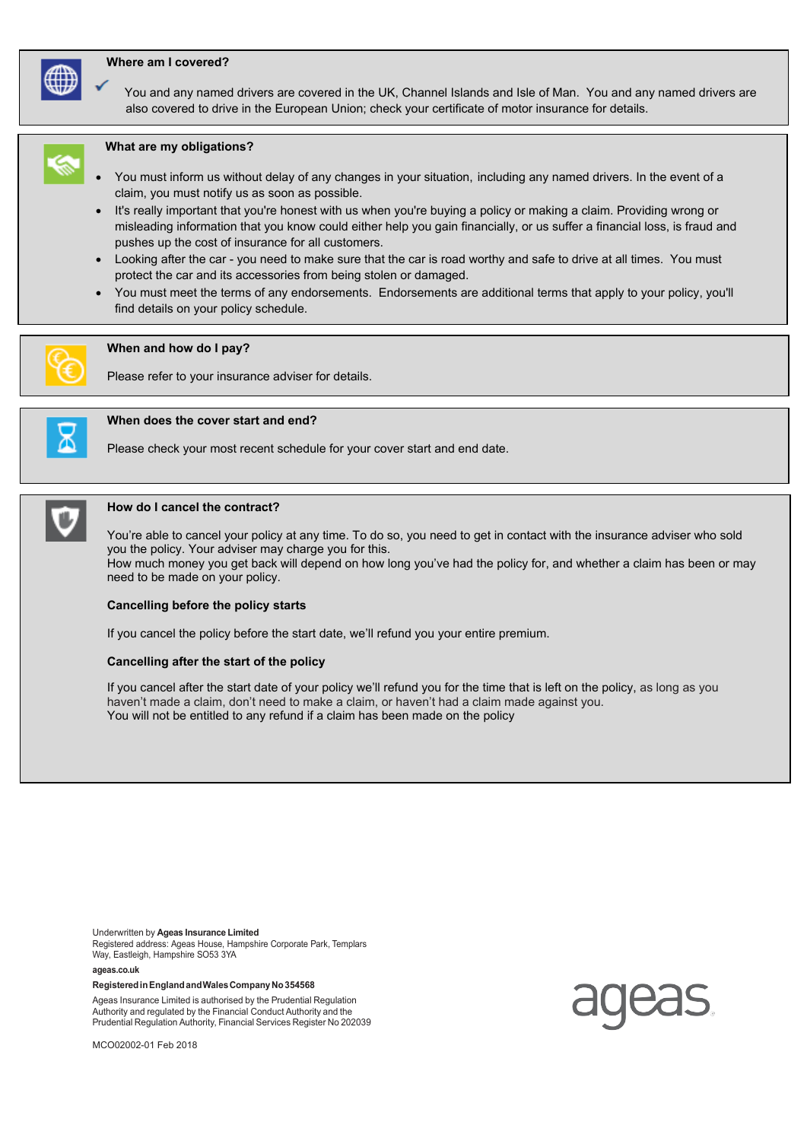### **Where am I covered?**



 You and any named drivers are covered in the UK, Channel Islands and Isle of Man. You and any named drivers are also covered to drive in the European Union; check your certificate of motor insurance for details.



# **What are my obligations?**

- You must inform us without delay of any changes in your situation, including any named drivers. In the event of a claim, you must notify us as soon as possible.
- It's really important that you're honest with us when you're buying a policy or making a claim. Providing wrong or misleading information that you know could either help you gain financially, or us suffer a financial loss, is fraud and pushes up the cost of insurance for all customers.
- Looking after the car you need to make sure that the car is road worthy and safe to drive at all times. You must protect the car and its accessories from being stolen or damaged.
- You must meet the terms of any endorsements. Endorsements are additional terms that apply to your policy, you'll find details on your policy schedule.



#### **When and how do I pay?**

Please refer to your insurance adviser for details.



# **When does the cover start and end?**

Please check your most recent schedule for your cover start and end date.



#### **How do I cancel the contract?**

You're able to cancel your policy at any time. To do so, you need to get in contact with the insurance adviser who sold you the policy. Your adviser may charge you for this.

How much money you get back will depend on how long you've had the policy for, and whether a claim has been or may need to be made on your policy.

#### **Cancelling before the policy starts**

If you cancel the policy before the start date, we'll refund you your entire premium.

#### **Cancelling after the start of the policy**

If you cancel after the start date of your policy we'll refund you for the time that is left on the policy, as long as you haven't made a claim, don't need to make a claim, or haven't had a claim made against you. You will not be entitled to any refund if a claim has been made on the policy

Underwritten by **Ageas Insurance Limited** Registered address: Ageas House, Hampshire Corporate Park, Templars Way, Eastleigh, Hampshire SO53 3YA

**ageas.co.uk**

#### **Registered in England and Wales Company No 354568**

Ageas Insurance Limited is authorised by the Prudential Regulation Authority and regulated by the Financial Conduct Authority and the Prudential Regulation Authority, Financial Services Register No 202039

MCO02002-01 Feb 2018